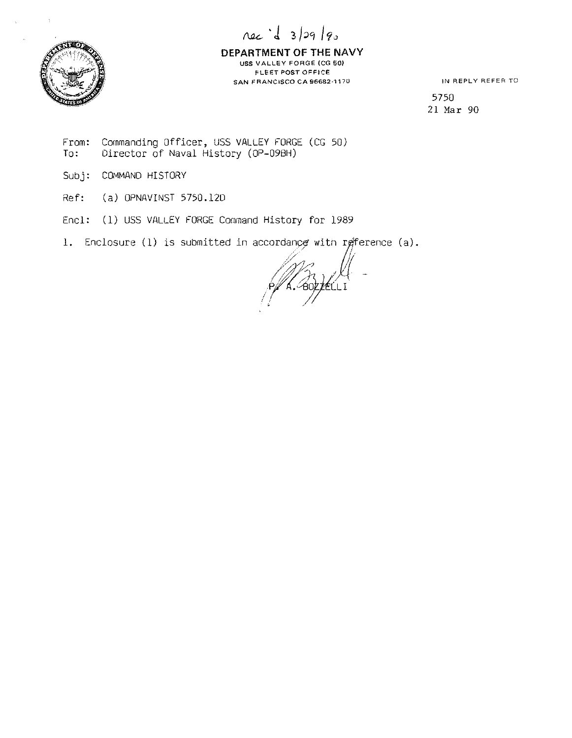



**DEPARTMENT OF THE NAVY USS VALLEY FORGE {CG so> FLEET POST OFFICE SAN FRANCISCO CA 96682·1170** 

**<sup>11</sup>'1 REPLY REFER TO** 

5750 21 Mar 90

- From: To: Commanding Officer, USS VALLEY FORGE (CG 50) Director of Naval History (OP-098H)
- Subj: COMMAND HISTORY
- Ref: (a) OPNAVINST 5750.120
- Encl: (1) USS VALLEY FORGE Command History for 1989

1. Enclosure (1) is submitted in accordance with reference (a).

/ M. J  $\frac{1}{2}$   $\frac{1}{2}$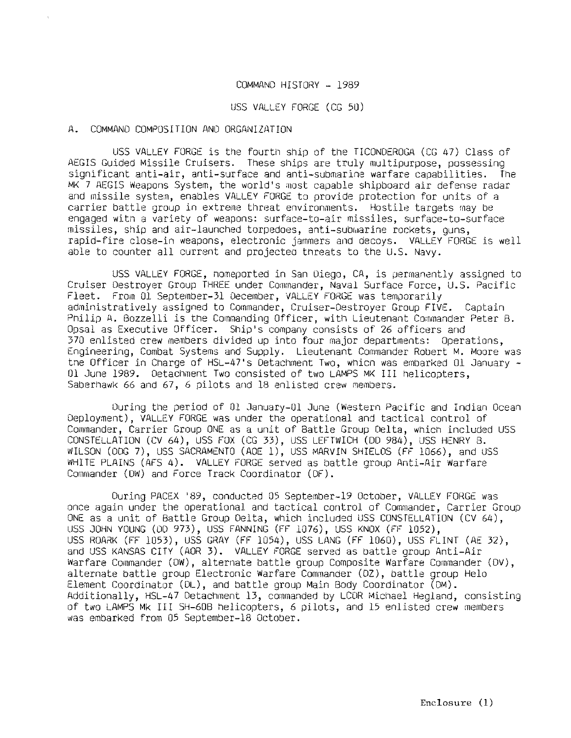## COMMAND HISTORY - 1989

#### USS VALLEY FORGE (CG 50)

### A. COMMAND COMPOSITION ANO ORGANIZATION

USS VALLEY FORGE is the fourth ship of the TICONDEROGA (CG 47) Class of AEGIS Guided Missile Cruisers. These ships are truly multipurpose, possessing significant anti-air, anti-surface and anti-submarine warfare capabilities. The MK 7 AEGIS Weapons System, the world's most capable shipboard air defense radar and missile system, enables VALLEY FORGE to provide protection for units of a carrier battle group in extreme threat environments. Hostile targets may be engaged witn a variety of weapons: surface-to-air missiles, surface-to-surface missiles, ship and air-launched torpedoes, anti-submarine rockets, guns, rapid-fire close-in weapons, electronic jammers and decoys. VALLEY FORGE is well able to counter all current and projecteo tnreats to the U.S. Navy.

USS VALLEY FORGE, nomeported in San Diego, CA, is permanently assigned to Cruiser Destroyer Group THREE under Commander, Naval Surface Force, U.S. Pacific Fleet. From 01 September-31 December, VALLEY FORGE was temporarily administratively assigned to Commander, Cruiser-Destroyer Group FIVE. Captain Philip A. Bozzelli is the Commanding Officer, with Lieutenant Commander Peter B. Opsal as Executive Officer. Ship's company consists of 26 officers and 370 enlisted crew members divided up into four major departments: Operations, Engineering, Combat Systems and Supply. Lieutenant Commander Robert M. Moore was tne Officer in Charge of HSL-47's Detachment Two, which was embarked Ol January - 01 June 1989. Oetachment Two consisted of two LAMPS MK III helicopters. Saberhawk 66 and 67, 6 pilots and 18 enlisted crew members.

During the period of 01 January-01 June (Western Pacific and Indian Ocean Deployment), VALLEY FORGE was under the operational and tactical control of Commander, Carrier Group ONE as a unit of Battle Group Delta, which included USS CONSTELLATION (CV 64), USS FOX (CG 33), USS LEFTWICH (00 984), USS HENRY 8. WILSON (ODG 7), USS SACRAMENTO (ADE 1), USS MARVIN SHIELDS (FF 1066), and USS WHITE PLAINS (AFS 4). VALLEY FORGE served as battle group Anti-Air Warfare Commander (OW) and Force Track Coordinator (OF).

During PACEX '89, conducted 05 Septernber-19 October, VALLEY FORGE was once again under the operational and tactical control of Commander, Carrier Group ONE as a unit of Battle Group Delta, which included USS CONSTELLATION (CV 64), USS JOHN YOUNG (DD 973), USS FANNING (FF 1076), USS KNOX (Ff" 1052), USS ROARK (FF 1053), USS GRAY (FF 1054), USS LANG (FF 1060), USS FLINT (AE 32), and USS KANSAS CITY (AOR 3). VALLEY FORGE served as battle group Anti-Air Warfare Commander (OW), alternate battle group Composite Warfare Commander (OV), alternate battle group Electronic Warfare Commander (OZ), battle group Helo Element Coordinator (OL), and battle group Main Body Coordinator (OM). Additionally, HSL-47 Detachment 13, commanded by LCDR Michael Hegland, consisting of two LAMPS Mk III SH-60B helicopters, 6 pilots, and 15 enlisted crew members was embarked from 05 September-18 October.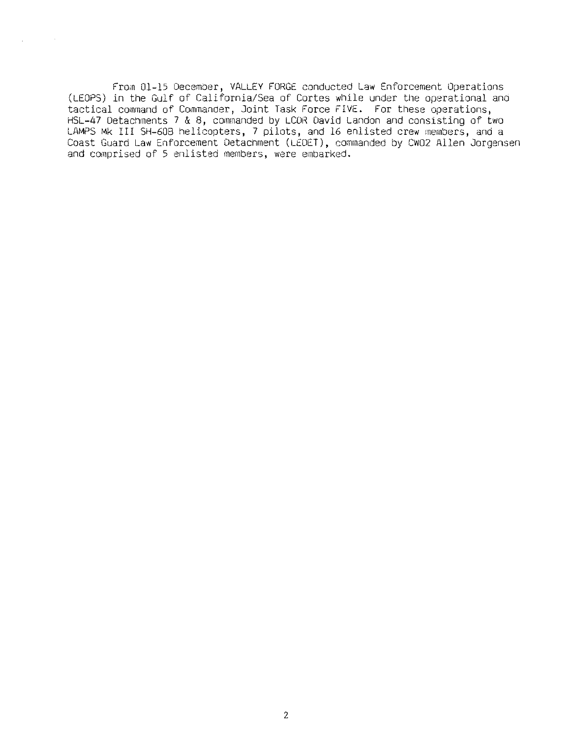Fro;n Ol-15 December, VALLEY FORGE conducted Law Enforcement Operations (LEOPS) in the Gulf of California/Sea of Cortes while under the operational and tactical command of Commander, Joint Task Force FIVE. For these operations, HSL-47 Detachments 7 & 8, commanded by LCDR David Landon and consisting of two LAMPS Mk III SH-608 helicopters, 7 pilots, and 16 enlisted crew members, and a Coast Guard Law Enforcement Detachment (LEDET), commanded by CW02 Allen Jorgensen and comprised of 5 enlisted members, were embarked.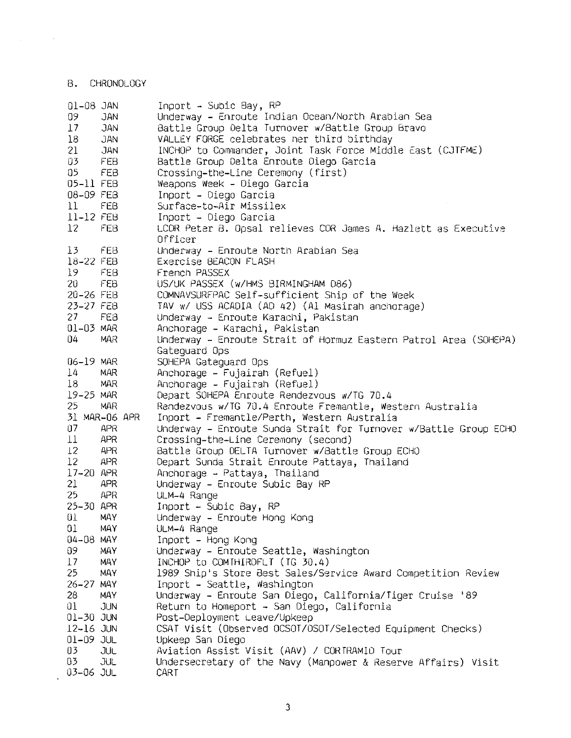B. CHRONOLOGY

 $\mathcal{L}_{\text{max}}$  , and  $\mathcal{L}_{\text{max}}$ 

| 01-08 JAN       |               | Inport - Subic Bay, RP                                           |
|-----------------|---------------|------------------------------------------------------------------|
| 09              | <b>JAN</b>    | Underway – Enroute Indian Ocean/North Arabian Sea                |
| $\downarrow$ 7  | JAN           | Battle Group Delta Turnover w/Battle Group Bravo                 |
| 18              | <b>JAN</b>    | VALLEY FORGE celebrates her third birthday                       |
| 21              | <b>JAN</b>    | INCHOP to Commander, Joint Task Force Middle East (CJTFME)       |
| 03              | <b>FEB</b>    | Battle Group Delta Enroute Diego Garcia                          |
|                 |               |                                                                  |
| 05              | <b>FEB</b>    | Crossing-the-Line Ceremony (first)                               |
| 05-11 FEB       |               | Weapons Week - Diego Garcia                                      |
| 08-09 FEB       |               | Inport - Diego Garcia                                            |
| 11 <sup>1</sup> | FEB           | Surface-to-Air Missilex                                          |
| 11-12 FEB       |               | Inport - Diego Garcia                                            |
| 12 <sup>2</sup> | FEB           | LCDR Peter B. Opsal relieves CDR James A. Hazlett as Executive   |
|                 |               | Officer                                                          |
| 13              | FEB.          | Underway – Enroute North Arabian Sea                             |
| 18-22 FEB       |               | Exercise BEACON FLASH                                            |
| 19              | FEB           | French PASSEX                                                    |
| 20              | FEB           | US/UK PASSEX (W/HMS BIRMINGHAM 086)                              |
| 20-26 FEB       |               | COMNAVSURFPAC Self-sufficient Ship of the Week                   |
| 23-27 FEB       |               | TAV w/ USS ACADIA (AD 42) (Al Masirah anchorage)                 |
| 27              | FEB           | Underway - Enroute Karachi, Pakistan                             |
| 01-03 MAR       |               | Anchorage - Karachi, Pakistan                                    |
| 04              | <b>MAR</b>    |                                                                  |
|                 |               | Underway – Enroute Strait of Hormuz Eastern Patrol Area (SOHEPA) |
|                 |               | Gatequard Ops                                                    |
| 06-19 MAR       |               | SOHEPA Gateguard Ops                                             |
| $\frac{1}{4}$   | <b>MAR</b>    | Anchorage – Fujairah (Refuel)                                    |
| $_{18}$         | MAR           | Anchorage - Fujairah (Refuel)                                    |
| 19-25 MAR       |               | Depart SOHEPA Enroute Rendezvous w/TG 70.4                       |
| 25              | <b>MAR</b>    | Rendezvous w/TG 70.4 Enroute Fremantle, Western Australia        |
|                 | 31 MAR-06 APR | Inport - Fremantle/Perth, Western Australia                      |
| 07              | <b>APR</b>    | Underway – Enroute Sunda Strait for Turnover w/Battle Group ECHO |
| $\perp$         | <b>APR</b>    | Crossing-the-Line Ceremony (second)                              |
| 12              | <b>APR</b>    | Battle Group DELTA Turnover w/Battle Group ECHO                  |
| 12              | <b>APR</b>    | Depart Sunda Strait Enroute Pattaya, Thailand                    |
| 17-20 APR       |               | Anchorage - Pattaya, Thailand                                    |
| 21              | APR           | Underway - Enroute Subic Bay RP                                  |
| 25              | <b>APR</b>    | ULM-4 Range                                                      |
| 25-30 APR       |               | Inport - Subic Bay, RP                                           |
| θl              | MAY           | Underway - Enroute Hong Kong                                     |
| 01              | MAY.          | ULM-4 Range                                                      |
| 04-08 MAY       |               | Inport - Hong Kong                                               |
| 09              | <b>MAY</b>    | Underway - Enroute Seattle, Washington                           |
| 17              |               |                                                                  |
|                 | MAY           | INCHOP to COMTHIRDFLT (TG 30.4)                                  |
| 25              | MAY           | 1989 Ship's Store Best Sales/Service Award Competition Review    |
| $26 - 27$       | MAY           | Inport - Seattle, Washington                                     |
| 28              | <b>MAY</b>    | Underway - Enroute San Diego, California/Tiger Cruise '89        |
| 01              | JUN           | Return to Homeport - San Diego, California                       |
| $01-30$ JUN     |               | Post-Deployment Leave/Upkeep                                     |
| 12-16 JUN       |               | CSAT Visit (Observed OCSOT/OSOT/Selected Equipment Checks)       |
| $01 - 09$ JUL   |               | Upkeep San Diego                                                 |
| 03              | JUL           | Aviation Assist Visit (AAV) / CORTRAMID Tour                     |
| 03              | JUL           | Undersecretary of the Navy (Manpower & Reserve Affairs) Visit    |
| 03-06 JUL       |               | CART                                                             |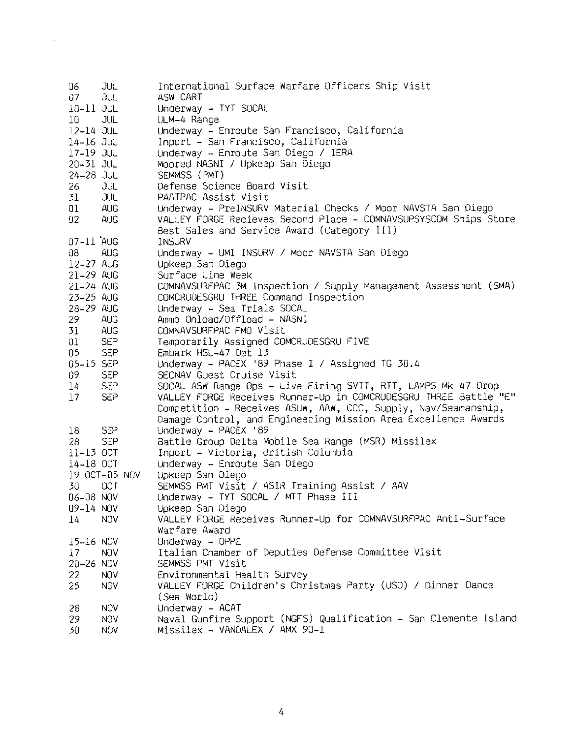| 06.             | JUL           | International Surface Warfare Officers Ship Visit                |
|-----------------|---------------|------------------------------------------------------------------|
| 07              | JUL           | ASW CART                                                         |
| 10-11 JUL       |               | Underway - TYT SOCAL                                             |
| 10              | JUL           | ULM-4 Range                                                      |
| $12 - 14$ JUL   |               | Underway – Enroute San Francisco, California                     |
| 14-16 JUL       |               | Inport - San Francisco, California                               |
| $17 - 19$ JUL   |               | Underway - Enroute San Diego / IERA                              |
| $20 - 31$ JUL   |               | Moored NASNI / Upkeep San Diego                                  |
| $24 - 28$ JUL   |               | SEMMSS (PMT)                                                     |
| 26              | JUL           | Defense Science Board Visit                                      |
| 31              | JUL           | PAATPAC Assist Visit                                             |
| 01              | AUG.          | Underway – PreINSURV Material Checks / Moor NAVSTA San Diego     |
| 02 <sub>1</sub> | AUG.          | VALLEY FORGE Recieves Second Place - COMNAVSUPSYSCOM Ships Store |
|                 |               | Best Sales and Service Award (Category III)                      |
| 07-11 AUG       |               | INSURV                                                           |
| 08              | AUG.          | Underway - UMI INSURV / Moor NAVSTA San Diego                    |
| 12-27 AUG       |               | Upkeep San Diego                                                 |
| 21-29 AUG       |               | Surface Line Week                                                |
| $21 - 24$ AUG   |               | COMNAVSURFPAC 3M Inspection / Supply Management Assessment (SMA) |
| 23-25 AUG       |               | COMCRUDESGRU THREE Command Inspection                            |
| 28-29 AUG       |               |                                                                  |
|                 |               | Underway - Sea Trials SOCAL<br>Ammo Onload/Offload - NASNI       |
| 29.             | <b>AUG</b>    |                                                                  |
| 31              | AUG           | COMNAVSURFPAC FMO Visit                                          |
| 01              | <b>SEP</b>    | Temporarily Assigned COMCRUDESGRU FIVE                           |
| 05              | <b>SEP</b>    | Embark HSL-47 Det 13                                             |
| 05-15 SEP       |               | Underway - PACEX '89 Phase I / Assigned TG 30.4                  |
| 09              | <b>SEP</b>    | SECNAV Guest Cruise Visit                                        |
| 14              | <b>SEP</b>    | SOCAL ASW Range Ops - Live Firing SVTT, RTT, LAMPS Mk 47 Drop    |
| 17              | <b>SEP</b>    | VALLEY FORGE Receives Runner-Up in COMCRUDESGRU THREE Battle "E" |
|                 |               | Competition - Receives ASUW, AAW, CCC, Supply, Nav/Seamanship,   |
|                 |               | Damage Control, and Engineering Mission Area Excellence Awards   |
| 18              | <b>SEP</b>    | Underway - PACEX '89                                             |
| 28              | <b>SEP</b>    | Battle Group Delta Mobile Sea Range (MSR) Missilex               |
| $11-13$ OCT     |               | Inport - Victoria, British Columbia                              |
| 14-18 OCT       |               | Underway - Enroute San Diego                                     |
|                 | 19 OCT-05 NOV | Upkeep San Diego                                                 |
| 30              | OCT           | SEMMSS PMT Visit / ASIR Training Assist / AAV                    |
| 06-08 NOV       |               | Underway - TYT SOCAL / MTT Phase III                             |
| 09-14 NOV       |               | Upkeep San Diego                                                 |
| 14              | <b>NOV</b>    | VALLEY FORGE Receives Runner-Up for COMNAVSURFPAC Anti-Surface   |
|                 |               | Warfare Award                                                    |
| 15-16 NOV       |               | Underway - OPPE                                                  |
| 17              | <b>NOV</b>    | Italian Chamber of Deputies Defense Committee Visit              |
| 20-26 NOV       |               | SEMMSS PMT Visit                                                 |
| 22              | <b>NOV</b>    | Environmental Health Survey                                      |
| 25              | <b>NOV</b>    | VALLEY FORGE Children's Christmas Party (USO) / Dinner Dance     |
|                 |               |                                                                  |
|                 |               | (Sea World)                                                      |
| 28              | <b>NOV</b>    | Underway - ACAT                                                  |
| 29              | <b>NOV</b>    | Naval Gunfire Support (NGFS) Qualification - San Clemente Island |
| 30              | <b>NOV</b>    | Missilex - VANDALEX / AMX 90-1                                   |

 $\label{eq:2.1} \frac{1}{\sqrt{2}}\sum_{i=1}^n\frac{1}{\sqrt{2}}\sum_{i=1}^n\frac{1}{\sqrt{2}}\sum_{i=1}^n\frac{1}{\sqrt{2}}\sum_{i=1}^n\frac{1}{\sqrt{2}}\sum_{i=1}^n\frac{1}{\sqrt{2}}\sum_{i=1}^n\frac{1}{\sqrt{2}}\sum_{i=1}^n\frac{1}{\sqrt{2}}\sum_{i=1}^n\frac{1}{\sqrt{2}}\sum_{i=1}^n\frac{1}{\sqrt{2}}\sum_{i=1}^n\frac{1}{\sqrt{2}}\sum_{i=1}^n\frac$ 

4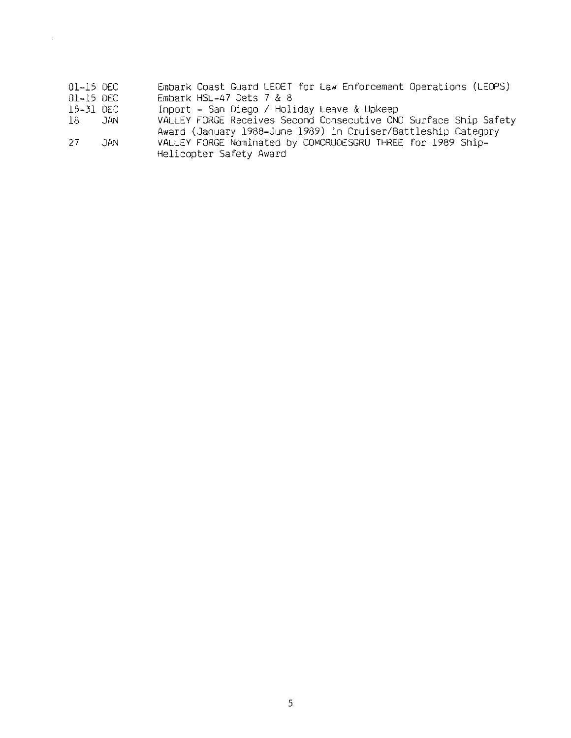- 01-15 DEC Embark Coast Guard LEDET for Law Enforcement Operations (LEDPS)
- 01-15 DEC Embark HSL-47 Dets 7 & 8

 $\mathcal{A}^{\mathcal{A}}$ 

- 15-31 DEC Inport - San Diego / Holiday Leave & Upkeep
- JAN VALLEY FORGE Receives Second Consecutive CNO Surface Ship Safety Award (January 1988-June 1989) in Cruiser/Battleship Category
- 27 JAN VALLEY FORGE Nominated by COMCRUOESGRU THREE for 1989 Ship-Helicopter Safety Award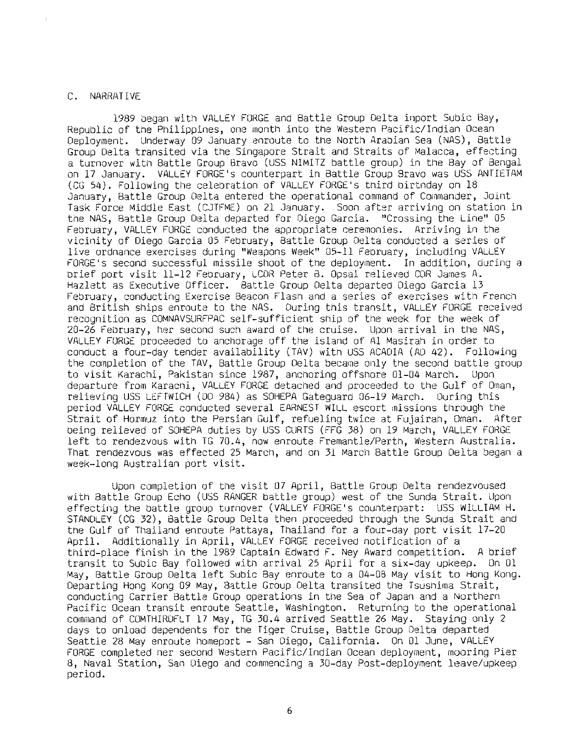#### C. NARRATIVE

1989 began with VALLEY FORGE and Battle Group Delta inport Subic Bay, Republic of the Philippines, one month into the Western Pacific/Indian Ocean Deployment. Underway 09 January enroute to the North Arabian Sea (NAS). Battle Group Delta transited via the Singapore Strait and Straits of Malacca, effecting a turnover with Battle Group Bravo (USS NIMITZ battle group) in the Bay of Bengal on 17 January. VALLEY FORGE's counterpart in Battle Group Bravo was USS ANTIETAM (CG 54). Following the celebration of VALLEY FORGE'S third birtnday on 18 January, Battle Group Delta entered the operational command of Commander, Joint Task Force Middle East (CJTFME) on 21 January. Soon after arriving on station in the NAS, Battle Group Delta departed for Diego Garcia. "Crossing the Line" 05 February, VALLEY FORGE conducted the appropriate ceremonies. Arriving in the vicinity of Diego Garcia 05 February, Battle Group Delta conducted a series of live ordnance exercises during "Weapons Week" 05-11 February, including VALLEY FORGE' s second successful missile shoot of the deployment. In addition, during a orief port visit 11-12 Feoruary, LCDR Peter B. Opsal relieved CUR James A. Hazlett as Executive Officer. Battle Group Delta departed Diego Garcia 13 February, conducting Exercise Beacon Flash and a series of exercises with French and British ships enroute to the NAS. During this transit, VALLEY FORGE received recognition as COMNAVSURFPAC self-sufficient ship of the week for the week of  $20-26$  February, her second such award of the cruise. Upon arrival in the NAS, VALLEY FORGE proceeded to anchorage off tne island of Al Masiran in order to conduct a four-day tender availability (TAV) witn USS ACADIA (AO 42). Following the completion of the TAV, Battle Group Delta became only the second battle group to visit Karachi, Pakistan since 1987, anchoring offshore 01-04 March. Upon departure from Karacni, VALLEY FORGE detached and proceeded to the Gulf of Oman, relieving USS LEFTWICH (OD 984) as SOHEPA Gateguard 06-19 March. During this period VALLEY FORGE conducted several EARNEST WILL escort missions through the Strait of Hormuz into the Persian Gulf, refueling twice at Fujairah, Oman. After oeing relieved of SOHEPA duties by USS CURTS (FFG 38) on 19 March, VALLEY FORGE left to rendezvous witn TG 70.4, now enroute Fremantle/Pertn, Western Australia. That rendezvous was effected 25 March, and on 31 March Battle Group Delta began a week-long Australian port visit.

Upon completion of the visit 07 April, Battle Group Delta rendezvoused witn Battle Group Echo (USS RANGER battle group) west of tne Sunda Strait. Upon effecting the battle group turnover (VALLEY FORGE's counterpart: USS WILLIAM H. STANDLEY (CG 32), Battle Group Delta then proceeded through the Sunda Strait and tne Gulf of Thailand enroute Pattaya, Tnailand for a four-day port visit 17-20 April. Additionally in April, VALLEY FORGE received notification of a third-place finish in the 1989 Captain Edward F. Ney Award competition. A brief transit to Subic Bay followed with arrival 25 April for a six-day upkeep. On 01 May, Battle Group Delta left Subic Bay enroute to a 04-08 May visit to Hong Kong. Departing Hong Kong 09 May, Battle Group Delta transited the Tsusnima Strait, conducting Carrier Battle Group operations in the Sea of Japan and a Northern Pacific Ocean transit enroute Seattle, Washington. Returning to the operational command of COMTHIRDFLT 17 May, TG 30.4 arrived Seattle 26 May. Staying only 2 days to onload dependents for tne Tiger Cruise, Battle Group Delta departed Seattle 28 May enroute homeport - San Diego, California. On 01 June, VALLEY FORGE completed ner second Western Pacific/Indian Ocean deployment, mooring Pier 8, Naval Station, San Diego and coinmencing a 30-day Post-deployment leave/upkeep period.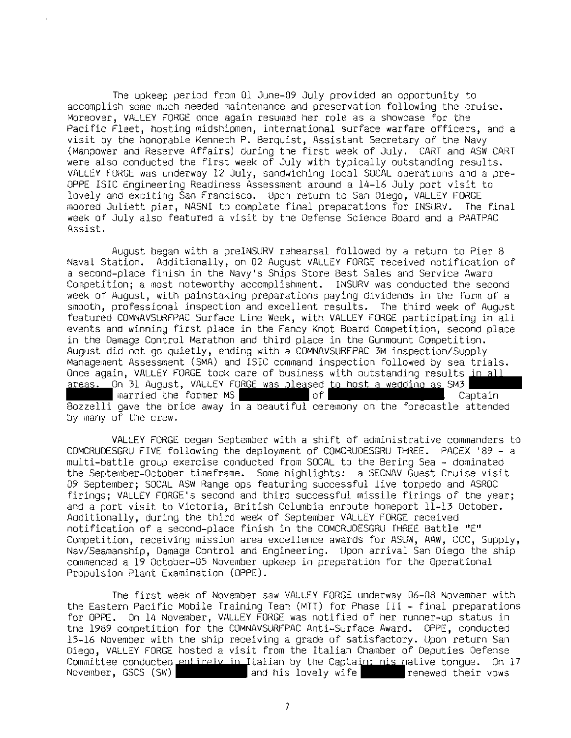The upkeep period from 01 June-09 July provided an opportunity to accomplish some much needed maintenance and preservation following the cruise. Moreover, VALLEY FORGE once again resumed her role as a showcase for the Pacific Fleet, hosting midshipmen, international surface warfare officers, and a visit by the honorable Kenneth P. Berquist, Assistant Secretary of tne Navy (Manpower and Reserve Affairs) during the first week of July. CART and ASW CART were also conducted the first week of July with typically outstanding results. VALLEY FORGE was underway 12 July, sandwiching local SOCAL operations and a pre-OPPE ISIC engineering Readiness Assessment around a 14-16 July port visit to lovely and exciting San Francisco. Upon return to San Oiego, VALLEY FORGE moored Juliett pier, NASNI to complete final preparations for INSURV. The final week of July also featured a visit by the Defense Science Board and a PAATPAC Assist.

August began with a preINSURV rehearsal followed by a return to Pier 8 Naval Station. Additionally, on 02 August VALLEY FORGE received notification of a second-place finish in the Navy's Ships Store Best Sales and Service Award Competition; a most noteworthy accomplishment. INSURV was conducted the second week of August, with painstaking preparations paying dividends in the form of a smooth, professional inspection and excellent results. The third week of August featured COMNAVSURFPAC Surface Line Week, with VALLEY FORGE participating in all events and winning first place in the Fancy Knot Board Competition, second place in the Damage Control Marathon and third place in the Gunrnount Competition. August did not go quietly, ending with a COMNAVSURFPAC 3M inspection/Supply Management Assessment (SMA) and ISIC command inspection followed by sea trials.<br>Once again, VALLEY FORGE took care of business with outstanding results in all once areas. On 31 August, VALLEY FORGE was pleased to host a wedding as SM3<br>International married the former MS married the former MS Bozzelli gave the bride away in a beautiful ceremony on the forecastle attended by many of the crew.

VALLEY FORGE began September with a shift of administrative commanders to COMCRUOESGRU FIVE following the deployment of COMCRUOESGRU THREE. PACEX '89 - a multi-battle group exercise conducted from SOCAL to the Bering Sea - dominated the September-October timeframe. Some highlights: a SECNAV Guest Cruise visit 09 September; SOCAL ASW Range ops featuring successful live torpedo and ASROC firings; VALLEY FORGE's second and third successful missile firings of the year; and a port visit to Victoria, British Columbia enroute homeport 11-13 October. Additionally, during the third week of September VALLEY FORGE received notification of a second-place finish in the COMCRUOESGRU rHREE Battle "E" Competition, receiving mission area excellence awards for ASUW, AAW, CCC, Supply, Nav/Seamanship, Damage Control and Engineering. Upon arrival San Diego the ship commenced a 19 October-05 November upkeep in preparation for the Operational Propulsion Plant Examination (OPPE).

The first week of November saw VALLEY FORGt underway 06-08 November with the Eastern Pacific Mobile Training Team (MTT) for Phase III - final preparations for OPPE. On 14 November, VALLEY FORGE was notified of her runner-up status in the 1989 competition for the COMNAVSURFPAC Anti-Surface Award. OPPE, conducted 15-16 November with the ship receiving a grade of satisfactory. Upon return San Diego, VALLEY FORGE hosted a visit from the Italian Chamber of Deputies Defense Committee conducted entirely in Italian by the Captain; his native tongue. On 17<br>November, GSCS (SW) **Commission on the state of the state of the state** renewed their vows

7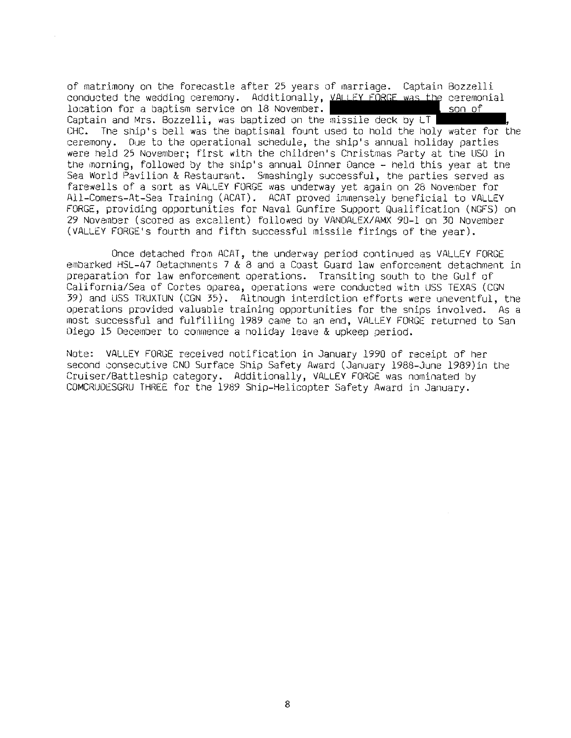of matrimony on the forecastle after 25 years of marriage. Captain Bozzelli conducted the wedding ceremony. Additionally, VALLEY FORGE was the ceremonial location for a baptism service on 18 November.

son of

Captain and Mrs. Bozzelli, was baptized on the missile deck by  $LT$ CHC. The ship's bell was the baptismal fount used to hold the holy water for the ceremony. Due to the operational schedule, the ship's annual holiday parties were held 25 November; first with the children's Christmas Party at the USO in the morning, followed by the ship's annual Dinner Dance - held this year at the Sea World Pavilion & Restaurant. Srnashingly successful, the parties served as farewells of a sort as VALLEY FORGE was underway yet again on 28 November for All-Comers-At-Sea Training (ACAT). ACAT proved immensely beneficial to VALLEY FORGE, providing opportunities for Naval Gunfire Support Qualification (NGFS) on 29 November (scored as excellent) followed by VANDALEX/AMX 90-l on 30 November (VALLEY FORGE' s fourth and fifth successful missile firings of the year).

Once detached from ACAT, the underway period continued as VALLEY FORGE embarked HSL-47 Detachments 7 & 8 and a Coast Guard law enforcement detachment in preparation for law enforcement operations. Transiting south to the Gulf of California/Sea of Cortes oparea, operations were conducted with USS TEXAS (CGN 39) and USS TRUXTUN (CGN 35). Altnough interdiction efforts were uneventful, the operations provided valuable training opportunities for the ships involved. As a most successful and fulfilling 1989 came to an end, VALLEY FORGE returned to San Diego 15 December to commence a noliday leave & upkeep period.

Note: VALLEY FORGE received notification in January 1990 of receipt of her second consecutive CNO Surface Ship Safety Award (January 1988-June 1989) in the Cruiser/Battleship category. Additionally, VALLEY FORGE was nominated by COMCRUDESGRU THREE for the 1989 Ship-Helicopter Safety Award in January.